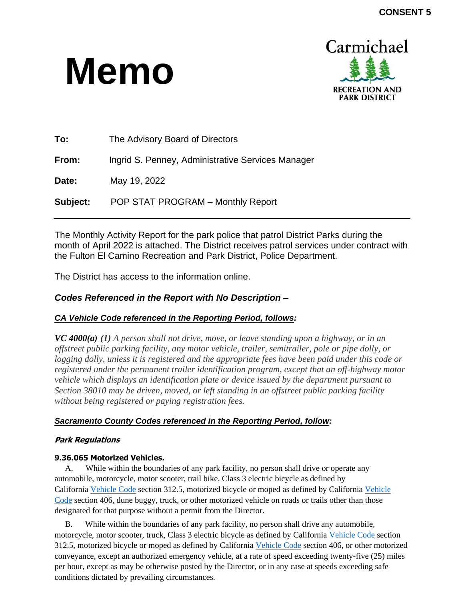# **Memo**



| To:      | The Advisory Board of Directors                   |
|----------|---------------------------------------------------|
| From:    | Ingrid S. Penney, Administrative Services Manager |
| Date:    | May 19, 2022                                      |
| Subject: | POP STAT PROGRAM - Monthly Report                 |

The Monthly Activity Report for the park police that patrol District Parks during the month of April 2022 is attached. The District receives patrol services under contract with the Fulton El Camino Recreation and Park District, Police Department.

The District has access to the information online.

### *Codes Referenced in the Report with No Description –*

#### *CA Vehicle Code referenced in the Reporting Period, follows:*

*VC 4000(a) (1) A person shall not drive, move, or leave standing upon a highway, or in an offstreet public parking facility, any motor vehicle, trailer, semitrailer, pole or pipe dolly, or logging dolly, unless it is registered and the appropriate fees have been paid under this code or registered under the permanent trailer identification program, except that an off-highway motor vehicle which displays an identification plate or device issued by the department pursuant to Section 38010 may be driven, moved, or left standing in an offstreet public parking facility without being registered or paying registration fees.*

#### *Sacramento County Codes referenced in the Reporting Period, follow:*

#### **Park Regulations**

#### **9.36.065 Motorized Vehicles.**

 A. While within the boundaries of any park facility, no person shall drive or operate any automobile, motorcycle, motor scooter, trail bike, Class 3 electric bicycle as defined by California [Vehicle](http://qcode.us/codes/othercode.php?state=ca&code=veh) Code section 312.5, motorized bicycle or moped as defined by California [Vehicle](http://qcode.us/codes/othercode.php?state=ca&code=veh) [Code](http://qcode.us/codes/othercode.php?state=ca&code=veh) section 406, dune buggy, truck, or other motorized vehicle on roads or trails other than those designated for that purpose without a permit from the Director.

 B. While within the boundaries of any park facility, no person shall drive any automobile, motorcycle, motor scooter, truck, Class 3 electric bicycle as defined by California [Vehicle](http://qcode.us/codes/othercode.php?state=ca&code=veh) Code section 312.5, motorized bicycle or moped as defined by California [Vehicle](http://qcode.us/codes/othercode.php?state=ca&code=veh) Code section 406, or other motorized conveyance, except an authorized emergency vehicle, at a rate of speed exceeding twenty-five (25) miles per hour, except as may be otherwise posted by the Director, or in any case at speeds exceeding safe conditions dictated by prevailing circumstances.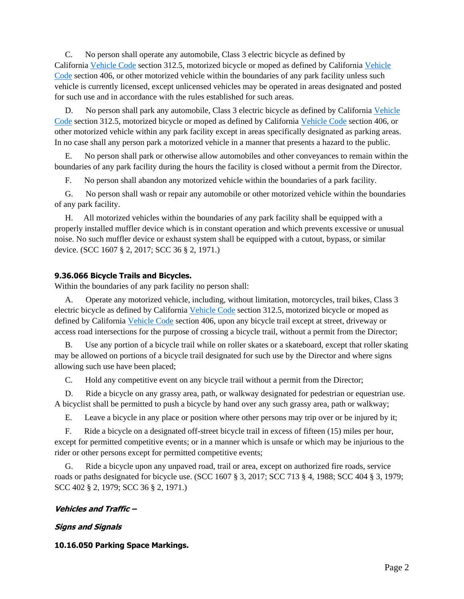C. No person shall operate any automobile, Class 3 electric bicycle as defined by California [Vehicle](http://qcode.us/codes/othercode.php?state=ca&code=veh) Code section 312.5, motorized bicycle or moped as defined by California [Vehicle](http://qcode.us/codes/othercode.php?state=ca&code=veh) [Code](http://qcode.us/codes/othercode.php?state=ca&code=veh) section 406, or other motorized vehicle within the boundaries of any park facility unless such vehicle is currently licensed, except unlicensed vehicles may be operated in areas designated and posted for such use and in accordance with the rules established for such areas.

 D. No person shall park any automobile, Class 3 electric bicycle as defined by California [Vehicle](http://qcode.us/codes/othercode.php?state=ca&code=veh) [Code](http://qcode.us/codes/othercode.php?state=ca&code=veh) section 312.5, motorized bicycle or moped as defined by California [Vehicle](http://qcode.us/codes/othercode.php?state=ca&code=veh) Code section 406, or other motorized vehicle within any park facility except in areas specifically designated as parking areas. In no case shall any person park a motorized vehicle in a manner that presents a hazard to the public.

 E. No person shall park or otherwise allow automobiles and other conveyances to remain within the boundaries of any park facility during the hours the facility is closed without a permit from the Director.

F. No person shall abandon any motorized vehicle within the boundaries of a park facility.

 G. No person shall wash or repair any automobile or other motorized vehicle within the boundaries of any park facility.

 H. All motorized vehicles within the boundaries of any park facility shall be equipped with a properly installed muffler device which is in constant operation and which prevents excessive or unusual noise. No such muffler device or exhaust system shall be equipped with a cutout, bypass, or similar device. (SCC 1607 § 2, 2017; SCC 36 § 2, 1971.)

#### **9.36.066 Bicycle Trails and Bicycles.**

Within the boundaries of any park facility no person shall:

Operate any motorized vehicle, including, without limitation, motorcycles, trail bikes, Class 3 electric bicycle as defined by California [Vehicle](http://qcode.us/codes/othercode.php?state=ca&code=veh) Code section 312.5, motorized bicycle or moped as defined by California [Vehicle](http://qcode.us/codes/othercode.php?state=ca&code=veh) Code section 406, upon any bicycle trail except at street, driveway or access road intersections for the purpose of crossing a bicycle trail, without a permit from the Director;

 B. Use any portion of a bicycle trail while on roller skates or a skateboard, except that roller skating may be allowed on portions of a bicycle trail designated for such use by the Director and where signs allowing such use have been placed;

C. Hold any competitive event on any bicycle trail without a permit from the Director;

 D. Ride a bicycle on any grassy area, path, or walkway designated for pedestrian or equestrian use. A bicyclist shall be permitted to push a bicycle by hand over any such grassy area, path or walkway;

E. Leave a bicycle in any place or position where other persons may trip over or be injured by it;

 F. Ride a bicycle on a designated off-street bicycle trail in excess of fifteen (15) miles per hour, except for permitted competitive events; or in a manner which is unsafe or which may be injurious to the rider or other persons except for permitted competitive events;

 G. Ride a bicycle upon any unpaved road, trail or area, except on authorized fire roads, service roads or paths designated for bicycle use. (SCC 1607 § 3, 2017; SCC 713 § 4, 1988; SCC 404 § 3, 1979; SCC 402 § 2, 1979; SCC 36 § 2, 1971.)

#### **Vehicles and Traffic –**

#### **Signs and Signals**

#### **10.16.050 Parking Space Markings.**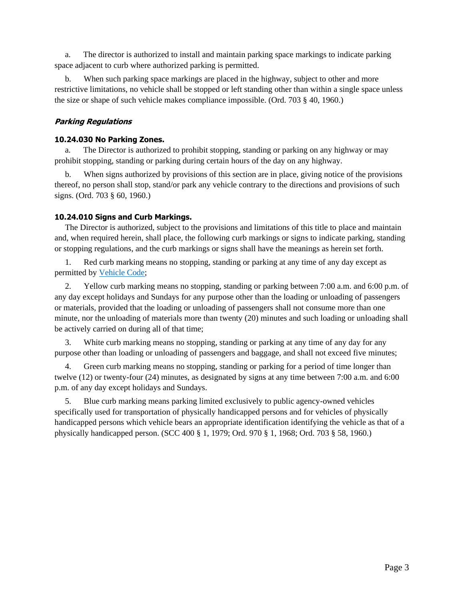a. The director is authorized to install and maintain parking space markings to indicate parking space adjacent to curb where authorized parking is permitted.

 b. When such parking space markings are placed in the highway, subject to other and more restrictive limitations, no vehicle shall be stopped or left standing other than within a single space unless the size or shape of such vehicle makes compliance impossible. (Ord. 703 § 40, 1960.)

#### **Parking Regulations**

#### **10.24.030 No Parking Zones.**

 a. The Director is authorized to prohibit stopping, standing or parking on any highway or may prohibit stopping, standing or parking during certain hours of the day on any highway.

 b. When signs authorized by provisions of this section are in place, giving notice of the provisions thereof, no person shall stop, stand/or park any vehicle contrary to the directions and provisions of such signs. (Ord. 703 § 60, 1960.)

#### **10.24.010 Signs and Curb Markings.**

 The Director is authorized, subject to the provisions and limitations of this title to place and maintain and, when required herein, shall place, the following curb markings or signs to indicate parking, standing or stopping regulations, and the curb markings or signs shall have the meanings as herein set forth.

 1. Red curb marking means no stopping, standing or parking at any time of any day except as permitted by [Vehicle](http://qcode.us/codes/othercode.php?state=ca&code=veh) Code;

 2. Yellow curb marking means no stopping, standing or parking between 7:00 a.m. and 6:00 p.m. of any day except holidays and Sundays for any purpose other than the loading or unloading of passengers or materials, provided that the loading or unloading of passengers shall not consume more than one minute, nor the unloading of materials more than twenty (20) minutes and such loading or unloading shall be actively carried on during all of that time;

 3. White curb marking means no stopping, standing or parking at any time of any day for any purpose other than loading or unloading of passengers and baggage, and shall not exceed five minutes;

 4. Green curb marking means no stopping, standing or parking for a period of time longer than twelve (12) or twenty-four (24) minutes, as designated by signs at any time between 7:00 a.m. and 6:00 p.m. of any day except holidays and Sundays.

 5. Blue curb marking means parking limited exclusively to public agency-owned vehicles specifically used for transportation of physically handicapped persons and for vehicles of physically handicapped persons which vehicle bears an appropriate identification identifying the vehicle as that of a physically handicapped person. (SCC 400 § 1, 1979; Ord. 970 § 1, 1968; Ord. 703 § 58, 1960.)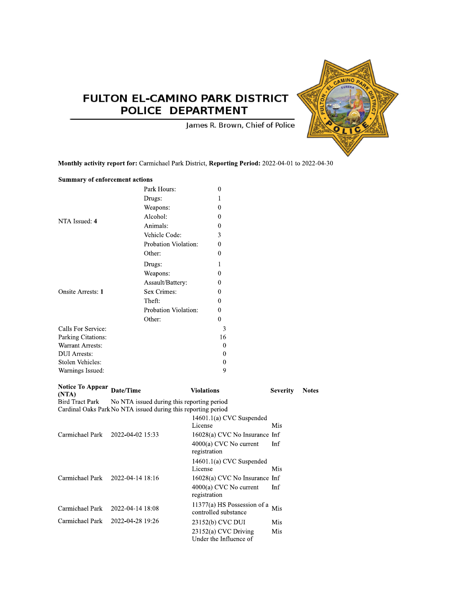## FULTON EL-CAMINO PARK DISTRICT POLICE DEPARTMENT



James R. Brown, Chief of Police

Severity Notes

Mis

Monthly activity report for: Carmichael Park District, Reporting Period: 2022-04-01 to 2022-04-30

#### **Summary of enforcement actions**

|                                                                                                                             |                  | Park Hours:          | $\theta$                            |
|-----------------------------------------------------------------------------------------------------------------------------|------------------|----------------------|-------------------------------------|
|                                                                                                                             |                  | Drugs:               | 1                                   |
| NTA Issued: 4                                                                                                               |                  | Weapons:             | $\Omega$                            |
|                                                                                                                             |                  | Alcohol:             | $\theta$                            |
|                                                                                                                             |                  | Animals:             | $\theta$                            |
|                                                                                                                             |                  | Vehicle Code:        | 3                                   |
|                                                                                                                             |                  | Probation Violation: | $\Omega$                            |
|                                                                                                                             |                  | Other:               | $\theta$                            |
|                                                                                                                             |                  | Drugs:               | 1                                   |
|                                                                                                                             |                  | Weapons:             | 0                                   |
|                                                                                                                             |                  | Assault/Battery:     | $\Omega$                            |
| <b>Onsite Arrests: 1</b>                                                                                                    |                  | Sex Crimes:          | $\Omega$                            |
|                                                                                                                             |                  | Theft:               | $\theta$                            |
|                                                                                                                             |                  | Probation Violation: | $\Omega$                            |
|                                                                                                                             |                  | Other:               | $\theta$                            |
| Calls For Service:                                                                                                          |                  |                      | 3                                   |
| Parking Citations:                                                                                                          |                  |                      | 16                                  |
| <b>Warrant Arrests:</b>                                                                                                     |                  |                      | $\theta$                            |
| <b>DUI</b> Arrests:                                                                                                         |                  |                      | 0                                   |
| Stolen Vehicles:                                                                                                            |                  |                      | $\Omega$                            |
| Warnings Issued:                                                                                                            |                  |                      | 9                                   |
| Notice To Appear Date/Time                                                                                                  |                  |                      | <b>Violations</b>                   |
| (NTA)                                                                                                                       |                  |                      |                                     |
| Bird Tract Park No NTA issued during this reporting period<br>Cardinal Oaks Park No NTA issued during this reporting period |                  |                      |                                     |
|                                                                                                                             |                  |                      | 14601.1(a) CVC Suspended<br>License |
| Carmichael Park                                                                                                             | 2022-04-02 15:33 |                      | 16028(a) CVC No Insurance           |
|                                                                                                                             |                  |                      | 4000(a) CVC No current              |

| Carmichael Park | 2022-04-02 15:33 | 16028(a) CVC No Insurance Inf                       |     |
|-----------------|------------------|-----------------------------------------------------|-----|
|                 |                  | 4000(a) CVC No current<br>registration              | Inf |
|                 |                  | $14601.1(a)$ CVC Suspended<br>License               | Mis |
| Carmichael Park | 2022-04-14 18:16 | 16028(a) CVC No Insurance Inf                       |     |
|                 |                  | $4000(a)$ CVC No current<br>registration            | Inf |
| Carmichael Park | 2022-04-14 18:08 | 11377(a) HS Possession of a<br>controlled substance | Mis |
| Carmichael Park | 2022-04-28 19:26 | 23152(b) CVC DUI                                    | Mis |
|                 |                  | 23152(a) CVC Driving<br>Under the Influence of      | Mis |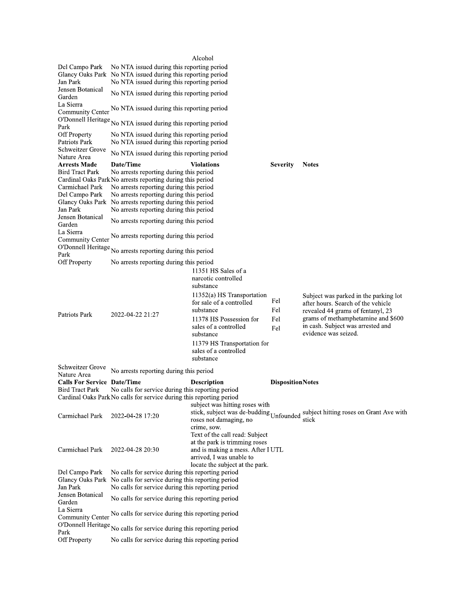|                                                                                                |                                                                                                                                                                                                                                                                                                                 | Alcohol                                                                                                                                                                     |                          |                                                                                                                                                                            |
|------------------------------------------------------------------------------------------------|-----------------------------------------------------------------------------------------------------------------------------------------------------------------------------------------------------------------------------------------------------------------------------------------------------------------|-----------------------------------------------------------------------------------------------------------------------------------------------------------------------------|--------------------------|----------------------------------------------------------------------------------------------------------------------------------------------------------------------------|
| Del Campo Park<br>Jan Park                                                                     | No NTA issued during this reporting period<br>Glancy Oaks Park No NTA issued during this reporting period<br>No NTA issued during this reporting period                                                                                                                                                         |                                                                                                                                                                             |                          |                                                                                                                                                                            |
| Jensen Botanical<br>Garden                                                                     | No NTA issued during this reporting period                                                                                                                                                                                                                                                                      |                                                                                                                                                                             |                          |                                                                                                                                                                            |
| La Sierra<br>Community Center                                                                  | No NTA issued during this reporting period                                                                                                                                                                                                                                                                      |                                                                                                                                                                             |                          |                                                                                                                                                                            |
| Park                                                                                           | O'Donnell Heritage No NTA issued during this reporting period                                                                                                                                                                                                                                                   |                                                                                                                                                                             |                          |                                                                                                                                                                            |
| <b>Off Property</b><br>Patriots Park                                                           | No NTA issued during this reporting period<br>No NTA issued during this reporting period                                                                                                                                                                                                                        |                                                                                                                                                                             |                          |                                                                                                                                                                            |
| Schweitzer Grove<br>Nature Area                                                                | No NTA issued during this reporting period                                                                                                                                                                                                                                                                      |                                                                                                                                                                             |                          |                                                                                                                                                                            |
| <b>Arrests Made</b><br><b>Bird Tract Park</b><br>Carmichael Park<br>Del Campo Park<br>Jan Park | Date/Time<br>No arrests reporting during this period<br>Cardinal Oaks Park No arrests reporting during this period<br>No arrests reporting during this period<br>No arrests reporting during this period<br>Glancy Oaks Park No arrests reporting during this period<br>No arrests reporting during this period | <b>Violations</b>                                                                                                                                                           | Severity                 | <b>Notes</b>                                                                                                                                                               |
| Jensen Botanical<br>Garden                                                                     | No arrests reporting during this period                                                                                                                                                                                                                                                                         |                                                                                                                                                                             |                          |                                                                                                                                                                            |
| La Sierra<br>Community Center<br>O'Donnell Heritage                                            | No arrests reporting during this period                                                                                                                                                                                                                                                                         |                                                                                                                                                                             |                          |                                                                                                                                                                            |
| Park                                                                                           | No arrests reporting during this period                                                                                                                                                                                                                                                                         |                                                                                                                                                                             |                          |                                                                                                                                                                            |
| <b>Off Property</b>                                                                            | No arrests reporting during this period                                                                                                                                                                                                                                                                         | 11351 HS Sales of a<br>narcotic controlled<br>substance<br>$11352(a)$ HS Transportation                                                                                     |                          | Subject was parked in the parking lot                                                                                                                                      |
| Patriots Park                                                                                  | 2022-04-22 21:27                                                                                                                                                                                                                                                                                                | for sale of a controlled<br>substance<br>11378 HS Possession for<br>sales of a controlled<br>substance<br>11379 HS Transportation for<br>sales of a controlled<br>substance | Fel<br>Fel<br>Fel<br>Fel | after hours. Search of the vehicle<br>revealed 44 grams of fentanyl, 23<br>grams of methamphetamine and \$600<br>in cash. Subject was arrested and<br>evidence was seized. |
| Schweitzer Grove<br>Nature Area                                                                | No arrests reporting during this period                                                                                                                                                                                                                                                                         |                                                                                                                                                                             |                          |                                                                                                                                                                            |
| <b>Calls For Service Date/Time</b>                                                             |                                                                                                                                                                                                                                                                                                                 | <b>Description</b>                                                                                                                                                          | <b>DispositionNotes</b>  |                                                                                                                                                                            |
| <b>Bird Tract Park</b>                                                                         | No calls for service during this reporting period<br>Cardinal Oaks Park No calls for service during this reporting period                                                                                                                                                                                       | subject was hitting roses with                                                                                                                                              |                          |                                                                                                                                                                            |
| Carmichael Park                                                                                | 2022-04-28 17:20                                                                                                                                                                                                                                                                                                | stick, subject was de-budding Unfounded<br>roses not damaging, no<br>crime, sow.<br>Text of the call read: Subject                                                          |                          | subject hitting roses on Grant Ave with<br>stick                                                                                                                           |
| Carmichael Park                                                                                | 2022-04-28 20:30                                                                                                                                                                                                                                                                                                | at the park is trimming roses<br>and is making a mess. After I UTL<br>arrived. I was unable to<br>locate the subject at the park.                                           |                          |                                                                                                                                                                            |
| Del Campo Park<br>Jan Park                                                                     | No calls for service during this reporting period<br>Glancy Oaks Park No calls for service during this reporting period<br>No calls for service during this reporting period                                                                                                                                    |                                                                                                                                                                             |                          |                                                                                                                                                                            |
| Jensen Botanical<br>Garden                                                                     | No calls for service during this reporting period                                                                                                                                                                                                                                                               |                                                                                                                                                                             |                          |                                                                                                                                                                            |
| La Sierra<br>Community Center<br>O'Donnell Heritage                                            | No calls for service during this reporting period                                                                                                                                                                                                                                                               |                                                                                                                                                                             |                          |                                                                                                                                                                            |
| Park                                                                                           | No calls for service during this reporting period                                                                                                                                                                                                                                                               |                                                                                                                                                                             |                          |                                                                                                                                                                            |
| Off Property                                                                                   | No calls for service during this reporting period                                                                                                                                                                                                                                                               |                                                                                                                                                                             |                          |                                                                                                                                                                            |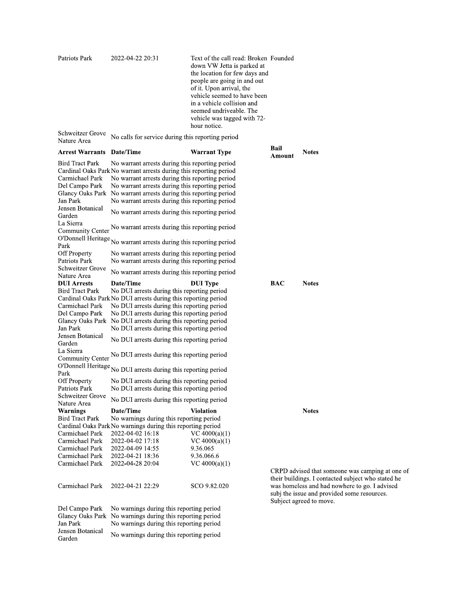| Patriots Park<br>Schweitzer Grove                                                                                                                                                                                                        | 2022-04-22 20:31                                                                                                                                                                                                                                                                                                                                                                                                                                                                                                                                                                                                                                                                        | Text of the call read: Broken Founded<br>down VW Jetta is parked at<br>the location for few days and<br>people are going in and out<br>of it. Upon arrival, the<br>vehicle seemed to have been<br>in a vehicle collision and<br>seemed undriveable. The<br>vehicle was tagged with 72-<br>hour notice. |                                                                                       |              |
|------------------------------------------------------------------------------------------------------------------------------------------------------------------------------------------------------------------------------------------|-----------------------------------------------------------------------------------------------------------------------------------------------------------------------------------------------------------------------------------------------------------------------------------------------------------------------------------------------------------------------------------------------------------------------------------------------------------------------------------------------------------------------------------------------------------------------------------------------------------------------------------------------------------------------------------------|--------------------------------------------------------------------------------------------------------------------------------------------------------------------------------------------------------------------------------------------------------------------------------------------------------|---------------------------------------------------------------------------------------|--------------|
| Nature Area                                                                                                                                                                                                                              | No calls for service during this reporting period                                                                                                                                                                                                                                                                                                                                                                                                                                                                                                                                                                                                                                       |                                                                                                                                                                                                                                                                                                        | Bail                                                                                  |              |
| <b>Arrest Warrants</b>                                                                                                                                                                                                                   | Date/Time                                                                                                                                                                                                                                                                                                                                                                                                                                                                                                                                                                                                                                                                               | <b>Warrant Type</b>                                                                                                                                                                                                                                                                                    | Amount                                                                                | <b>Notes</b> |
| <b>Bird Tract Park</b><br>Carmichael Park<br>Del Campo Park<br>Jan Park<br>Jensen Botanical<br>Garden<br>La Sierra<br><b>Community Center</b><br>Off Property<br>Patriots Park<br>Schweitzer Grove                                       | No warrant arrests during this reporting period<br>Cardinal Oaks Park No warrant arrests during this reporting period<br>No warrant arrests during this reporting period<br>No warrant arrests during this reporting period<br>Glancy Oaks Park No warrant arrests during this reporting period<br>No warrant arrests during this reporting period<br>No warrant arrests during this reporting period<br>No warrant arrests during this reporting period<br>O'Donnell Heritage No warrant arrests during this reporting period<br>No warrant arrests during this reporting period<br>No warrant arrests during this reporting period<br>No warrant arrests during this reporting period |                                                                                                                                                                                                                                                                                                        |                                                                                       |              |
| Nature Area<br><b>DUI Arrests</b>                                                                                                                                                                                                        | Date/Time                                                                                                                                                                                                                                                                                                                                                                                                                                                                                                                                                                                                                                                                               | <b>DUI</b> Type                                                                                                                                                                                                                                                                                        | BAC                                                                                   | <b>Notes</b> |
| <b>Bird Tract Park</b><br>Carmichael Park<br>Del Campo Park<br>Jan Park<br>Jensen Botanical<br>Garden<br>La Sierra<br>Community Center<br>O'Donnell Heritage<br>Park<br>Off Property<br>Patriots Park<br>Schweitzer Grove<br>Nature Area | No DUI arrests during this reporting period<br>Cardinal Oaks Park No DUI arrests during this reporting period<br>No DUI arrests during this reporting period<br>No DUI arrests during this reporting period<br>Glancy Oaks Park No DUI arrests during this reporting period<br>No DUI arrests during this reporting period<br>No DUI arrests during this reporting period<br>No DUI arrests during this reporting period<br>No DUI arrests during this reporting period<br>No DUI arrests during this reporting period<br>No DUI arrests during this reporting period<br>No DUI arrests during this reporting period                                                                    |                                                                                                                                                                                                                                                                                                        |                                                                                       |              |
| <b>Warnings</b>                                                                                                                                                                                                                          | Date/Time                                                                                                                                                                                                                                                                                                                                                                                                                                                                                                                                                                                                                                                                               | Violation                                                                                                                                                                                                                                                                                              |                                                                                       | <b>Notes</b> |
| <b>Bird Tract Park</b>                                                                                                                                                                                                                   | No warnings during this reporting period<br>Cardinal Oaks Park No warnings during this reporting period                                                                                                                                                                                                                                                                                                                                                                                                                                                                                                                                                                                 |                                                                                                                                                                                                                                                                                                        |                                                                                       |              |
| Carmichael Park<br>Carmichael Park<br>Carmichael Park<br>Carmichael Park                                                                                                                                                                 | 2022-04-02 16:18<br>2022-04-02 17:18<br>2022-04-09 14:55<br>2022-04-21 18:36                                                                                                                                                                                                                                                                                                                                                                                                                                                                                                                                                                                                            | VC 4000(a)(1)<br>VC $4000(a)(1)$<br>9.36.065<br>9.36.066.6                                                                                                                                                                                                                                             |                                                                                       |              |
| Carmichael Park                                                                                                                                                                                                                          | 2022-04-28 20:04                                                                                                                                                                                                                                                                                                                                                                                                                                                                                                                                                                                                                                                                        | $VC$ 4000(a)(1)                                                                                                                                                                                                                                                                                        | CRPD advised tha                                                                      |              |
| Carmichael Park                                                                                                                                                                                                                          | 2022-04-21 22:29                                                                                                                                                                                                                                                                                                                                                                                                                                                                                                                                                                                                                                                                        | SCO 9.82.020                                                                                                                                                                                                                                                                                           | their buildings. I c<br>was homeless and<br>subj the issue and<br>Subject agreed to 1 |              |
| Del Campo Park<br>Jan Park                                                                                                                                                                                                               | No warnings during this reporting period<br>Glancy Oaks Park No warnings during this reporting period<br>No warnings during this reporting period                                                                                                                                                                                                                                                                                                                                                                                                                                                                                                                                       |                                                                                                                                                                                                                                                                                                        |                                                                                       |              |
| Jensen Botanical<br>Garden                                                                                                                                                                                                               | No warnings during this reporting period                                                                                                                                                                                                                                                                                                                                                                                                                                                                                                                                                                                                                                                |                                                                                                                                                                                                                                                                                                        |                                                                                       |              |

sed that someone was camping at one of<br>ngs. I contacted subject who stated he<br>sss and had nowhere to go. I advised ue and provided some resources. eed to move.